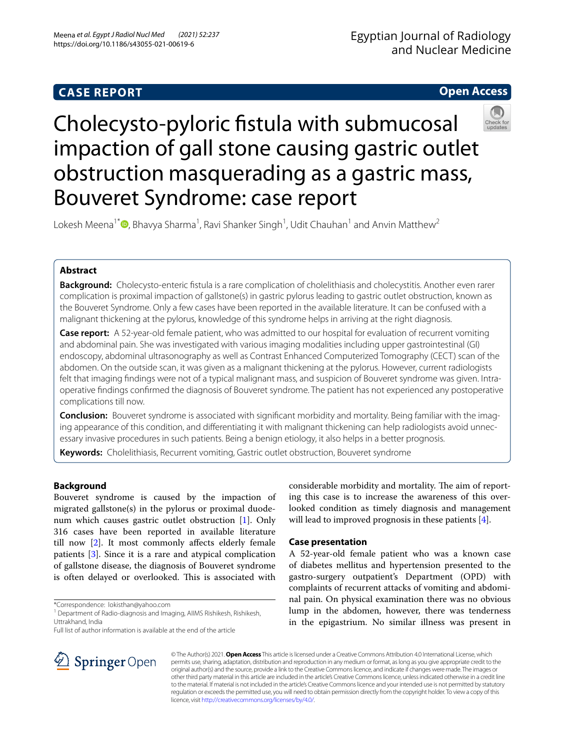# **CASE REPORT**

## **Open Access**



# Cholecysto-pyloric fstula with submucosal impaction of gall stone causing gastric outlet obstruction masquerading as a gastric mass, Bouveret Syndrome: case report

Lokesh Meena<sup>1[\\*](http://orcid.org/0000-0002-7321-5454)</sup> **D**, Bhavya Sharma<sup>1</sup>, Ravi Shanker Singh<sup>1</sup>, Udit Chauhan<sup>1</sup> and Anvin Matthew<sup>2</sup>

## **Abstract**

**Background:** Cholecysto-enteric fstula is a rare complication of cholelithiasis and cholecystitis. Another even rarer complication is proximal impaction of gallstone(s) in gastric pylorus leading to gastric outlet obstruction, known as the Bouveret Syndrome. Only a few cases have been reported in the available literature. It can be confused with a malignant thickening at the pylorus, knowledge of this syndrome helps in arriving at the right diagnosis.

**Case report:** A 52-year-old female patient, who was admitted to our hospital for evaluation of recurrent vomiting and abdominal pain. She was investigated with various imaging modalities including upper gastrointestinal (GI) endoscopy, abdominal ultrasonography as well as Contrast Enhanced Computerized Tomography (CECT) scan of the abdomen. On the outside scan, it was given as a malignant thickening at the pylorus. However, current radiologists felt that imaging fndings were not of a typical malignant mass, and suspicion of Bouveret syndrome was given. Intraoperative fndings confrmed the diagnosis of Bouveret syndrome. The patient has not experienced any postoperative complications till now.

**Conclusion:** Bouveret syndrome is associated with signifcant morbidity and mortality. Being familiar with the imaging appearance of this condition, and diferentiating it with malignant thickening can help radiologists avoid unnecessary invasive procedures in such patients. Being a benign etiology, it also helps in a better prognosis.

**Keywords:** Cholelithiasis, Recurrent vomiting, Gastric outlet obstruction, Bouveret syndrome

## **Background**

Bouveret syndrome is caused by the impaction of migrated gallstone(s) in the pylorus or proximal duodenum which causes gastric outlet obstruction [[1](#page-3-0)]. Only 316 cases have been reported in available literature till now [[2](#page-3-1)]. It most commonly afects elderly female patients [[3\]](#page-3-2). Since it is a rare and atypical complication of gallstone disease, the diagnosis of Bouveret syndrome is often delayed or overlooked. This is associated with considerable morbidity and mortality. The aim of reporting this case is to increase the awareness of this overlooked condition as timely diagnosis and management will lead to improved prognosis in these patients [[4\]](#page-3-3).

## **Case presentation**

A 52-year-old female patient who was a known case of diabetes mellitus and hypertension presented to the gastro-surgery outpatient's Department (OPD) with complaints of recurrent attacks of vomiting and abdominal pain. On physical examination there was no obvious lump in the abdomen, however, there was tenderness in the epigastrium. No similar illness was present in



© The Author(s) 2021. **Open Access** This article is licensed under a Creative Commons Attribution 4.0 International License, which permits use, sharing, adaptation, distribution and reproduction in any medium or format, as long as you give appropriate credit to the original author(s) and the source, provide a link to the Creative Commons licence, and indicate if changes were made. The images or other third party material in this article are included in the article's Creative Commons licence, unless indicated otherwise in a credit line to the material. If material is not included in the article's Creative Commons licence and your intended use is not permitted by statutory regulation or exceeds the permitted use, you will need to obtain permission directly from the copyright holder. To view a copy of this licence, visit [http://creativecommons.org/licenses/by/4.0/.](http://creativecommons.org/licenses/by/4.0/)

<sup>\*</sup>Correspondence: lokisthan@yahoo.com

<sup>&</sup>lt;sup>1</sup> Department of Radio-diagnosis and Imaging, AllMS Rishikesh, Rishikesh, Uttrakhand, India

Full list of author information is available at the end of the article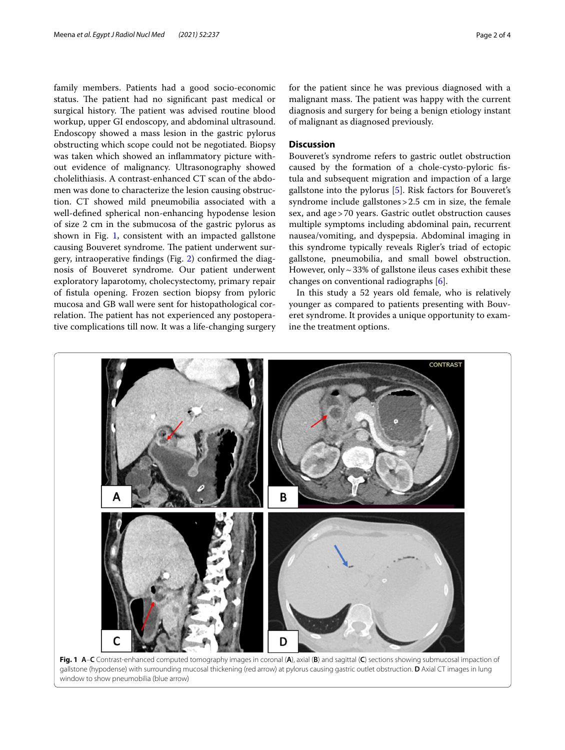family members. Patients had a good socio-economic status. The patient had no significant past medical or surgical history. The patient was advised routine blood workup, upper GI endoscopy, and abdominal ultrasound. Endoscopy showed a mass lesion in the gastric pylorus obstructing which scope could not be negotiated. Biopsy was taken which showed an infammatory picture without evidence of malignancy. Ultrasonography showed cholelithiasis. A contrast-enhanced CT scan of the abdomen was done to characterize the lesion causing obstruction. CT showed mild pneumobilia associated with a well-defned spherical non-enhancing hypodense lesion of size 2 cm in the submucosa of the gastric pylorus as shown in Fig. [1,](#page-1-0) consistent with an impacted gallstone causing Bouveret syndrome. The patient underwent surgery, intraoperative fndings (Fig. [2\)](#page-2-0) confrmed the diagnosis of Bouveret syndrome. Our patient underwent exploratory laparotomy, cholecystectomy, primary repair of fstula opening. Frozen section biopsy from pyloric mucosa and GB wall were sent for histopathological correlation. The patient has not experienced any postoperative complications till now. It was a life-changing surgery for the patient since he was previous diagnosed with a malignant mass. The patient was happy with the current diagnosis and surgery for being a benign etiology instant of malignant as diagnosed previously.

#### **Discussion**

Bouveret's syndrome refers to gastric outlet obstruction caused by the formation of a chole-cysto-pyloric fstula and subsequent migration and impaction of a large gallstone into the pylorus [[5](#page-3-4)]. Risk factors for Bouveret's syndrome include gallstones > 2.5 cm in size, the female sex, and age>70 years. Gastric outlet obstruction causes multiple symptoms including abdominal pain, recurrent nausea/vomiting, and dyspepsia. Abdominal imaging in this syndrome typically reveals Rigler's triad of ectopic gallstone, pneumobilia, and small bowel obstruction. However, only  $\sim$  33% of gallstone ileus cases exhibit these changes on conventional radiographs [[6\]](#page-3-5).

In this study a 52 years old female, who is relatively younger as compared to patients presenting with Bouveret syndrome. It provides a unique opportunity to examine the treatment options.



<span id="page-1-0"></span>**Fig. 1 A**–**C** Contrast-enhanced computed tomography images in coronal (**A**), axial (**B**) and sagittal (**C**) sections showing submucosal impaction of gallstone (hypodense) with surrounding mucosal thickening (red arrow) at pylorus causing gastric outlet obstruction. **D** Axial CT images in lung window to show pneumobilia (blue arrow)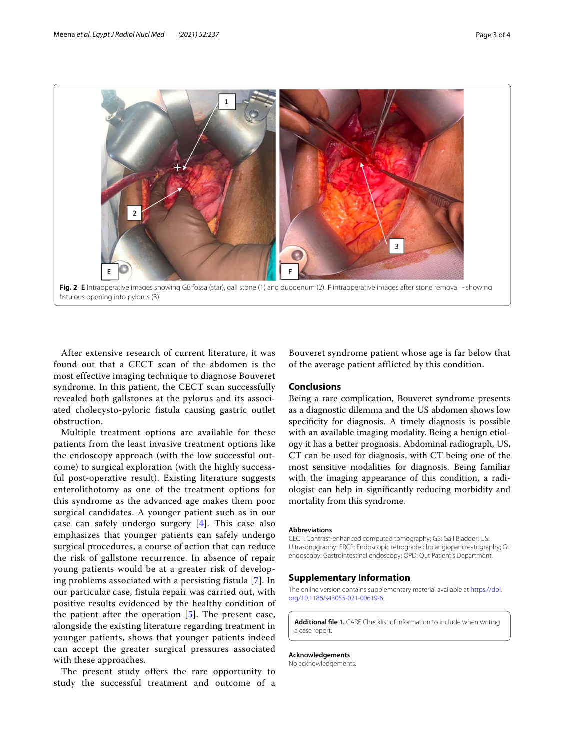

<span id="page-2-0"></span>After extensive research of current literature, it was found out that a CECT scan of the abdomen is the most effective imaging technique to diagnose Bouveret syndrome. In this patient, the CECT scan successfully revealed both gallstones at the pylorus and its associated cholecysto-pyloric fistula causing gastric outlet obstruction.

Multiple treatment options are available for these patients from the least invasive treatment options like the endoscopy approach (with the low successful outcome) to surgical exploration (with the highly successful post-operative result). Existing literature suggests enterolithotomy as one of the treatment options for this syndrome as the advanced age makes them poor surgical candidates. A younger patient such as in our case can safely undergo surgery [[4](#page-3-3)]. This case also emphasizes that younger patients can safely undergo surgical procedures, a course of action that can reduce the risk of gallstone recurrence. In absence of repair young patients would be at a greater risk of developing problems associated with a persisting fistula [[7](#page-3-6)]. In our particular case, fistula repair was carried out, with positive results evidenced by the healthy condition of the patient after the operation [[5\]](#page-3-4). The present case, alongside the existing literature regarding treatment in younger patients, shows that younger patients indeed can accept the greater surgical pressures associated with these approaches.

The present study offers the rare opportunity to study the successful treatment and outcome of a

Bouveret syndrome patient whose age is far below that of the average patient afflicted by this condition.

#### **Conclusions**

Being a rare complication, Bouveret syndrome presents as a diagnostic dilemma and the US abdomen shows low specifcity for diagnosis. A timely diagnosis is possible with an available imaging modality. Being a benign etiology it has a better prognosis. Abdominal radiograph, US, CT can be used for diagnosis, with CT being one of the most sensitive modalities for diagnosis. Being familiar with the imaging appearance of this condition, a radiologist can help in signifcantly reducing morbidity and mortality from this syndrome.

#### **Abbreviations**

CECT: Contrast-enhanced computed tomography; GB: Gall Bladder; US: Ultrasonography; ERCP: Endoscopic retrograde cholangiopancreatography; GI endoscopy: Gastrointestinal endoscopy; OPD: Out Patient's Department.

### **Supplementary Information**

The online version contains supplementary material available at [https://doi.](https://doi.org/10.1186/s43055-021-00619-6) [org/10.1186/s43055-021-00619-6](https://doi.org/10.1186/s43055-021-00619-6).

**Additional fle 1.** CARE Checklist of information to include when writing a case report.

**Acknowledgements**

No acknowledgements.